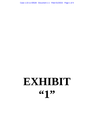Case 1:22-cv-00528 Document 1-1 Filed 01/20/22 Page 1 of 4

# **EXHIBIT**  661<sup>99</sup>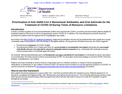

MARY T. BASSETT, M.D., M.P.H. **Acting Commissioner** 

**KRISTIN M. PROUD Acting Executive Deputy Commissioner** 

# **Prioritization of Anti-SARS-CoV-2 Monoclonal Antibodies and Oral Antivirals for the Treatment of COVID-19 During Times of Resource Limitations**

### **Introduction**

In times of limited supplies of monoclonal antibodies (mAbs) and oral antivirals (OAVs), providers should prioritize patients eligible for treatment based on their level of risk for progressing to severe COVID-19. In addition, the most efficacious products should be prioritized for patients with the highest risk for hospitalization and death. $^{\rm 1}$ 

According to the NIH COVID-19 Treatment Guidelines, triage and prioritization should only be implemented when logistical or supply constraints make it impossible to offer the therapy to all eligible patients. During periods of limited resources, the Panel suggests:

- Prioritizing the **treatment** of COVID-19 **and**
- Prioritizing anti-SARS-CoV-2 mAbs and OAVs for **unvaccinated or incompletely vaccinated** individuals and **vaccinated individuals who are not expected to mount an adequate immune response** (e.g., individuals with moderate to severe immunocompromise or individuals aged ≥65 years).

As reminder, Monoclonal antibodies and oral **therapeutics are not a substitute for vaccination** in individuals for whom vaccination is recommended. Providers should continue recommending COVID-19 vaccination as the best strategy to prevent COVID-19 severe disease, hospitalizations, and deaths.

Patients who have moderate to severe immune compromise (due to a medical condition or receipt of immunosuppressive medications or treatments) or are unable to receive COVID-19 vaccines due to a history of a severe adverse reaction to a COVID-19 vaccine should be considered for pre-exposure prophylaxis with a long-acting monoclonal antibody (Evusheld).

# **How to use this framework**

Each patient should be assigned to a group within Tier 1 and then prioritized within the respective group. Patients assigned to 1A should be considered the highest priority, with 1B being the next highest priority and so on. The recommended therapy section notes which groups should receive therapy without exception and which groups may need to be put on a wait list if supplies of a given therapeutic are limited.

<sup>&</sup>lt;sup>1</sup> In clinical trials, <u>Paxlovid</u> demonstrated an 88% reduction in hospitalizations and death in high-risk unvaccinated adults vs. 85% for <u>Sotrovimab</u> vs. 30% for **Molnupiravir**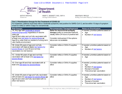

Governor

of Health MARY T. BASSETT, M.D., M.P.H. **Acting Commissioner** 

**KRISTIN M. PROUD Acting Executive Deputy Commissioner** 

### **Tier 1: Prioritization Groups for the Treatment of COVID-19**

For treatment, patients must have mild to moderate symptoms, test positive for SARS-CoV-2, and be within 10 days of symptom onset for mAbs or within 5 days for oral antivirals

| <b>Risk Groups</b>                                                                                                                                                                                                                                                               | <b>Recommended Therapy/Approach</b>                                                                                                                                                  | <b>Notes on Prioritization</b>                                                                                                                          |
|----------------------------------------------------------------------------------------------------------------------------------------------------------------------------------------------------------------------------------------------------------------------------------|--------------------------------------------------------------------------------------------------------------------------------------------------------------------------------------|---------------------------------------------------------------------------------------------------------------------------------------------------------|
| 1A. Any age with moderate to severe<br>immunocompromise regardless of vaccine<br>status or<br>Age 65 and older and not fully vaccinated with<br>at least one risk factor for severe illness or<br>Age 65 or older that is a resident of a long-term<br>care facility environment | Refer for monoclonal antibody<br>therapy (mAb) or prescribe Paxlovid,<br>ideally within 24 hours of positive test<br>Consider molnupiravir if the options<br>above are not available | If needed, prioritize patients based on<br>Age<br>$\bullet$<br>Number of risk factors                                                                   |
| 1B. Under 65 years of age and not fully<br>vaccinated with two or more risk factors for<br>severe illness or over 65 and not fully<br>vaccinated (no risk factors)                                                                                                               | Consider mAbs or OAVs if supplies<br>allow                                                                                                                                           | If needed, prioritize patients based on<br>Age<br>$\bullet$<br>Number of risk factors                                                                   |
| 1C. Under 65 years of age and not fully<br>vaccinated with at least one <u>risk factor for</u><br>severe illness                                                                                                                                                                 | Consider mAbs or OAVs if supplies<br>allow                                                                                                                                           | If needed, prioritize patients based on<br>Age<br>$\bullet$                                                                                             |
| 1D. Over age 65 and fully vaccinated with at<br>least one risk factor for severe illness                                                                                                                                                                                         | Consider mAbs or OAVs if supplies<br>allow                                                                                                                                           | If needed, prioritize patients based on<br>Age<br>$\bullet$<br>Number of risk factors<br>Receipt of booster<br>Time since last vaccination              |
| 1E. Under 65 years of age and fully vaccinated<br>with at least one risk factor for severe illness or<br>Age 65 and older and fully vaccinated with no<br>other risk factors                                                                                                     | Consider mAbs or OAVs if supplies<br>allow                                                                                                                                           | If needed, prioritize patients based on<br>Age<br>$\bullet$<br>Number of risk factors<br>$\bullet$<br>Receipt of booster<br>Time since last vaccination |